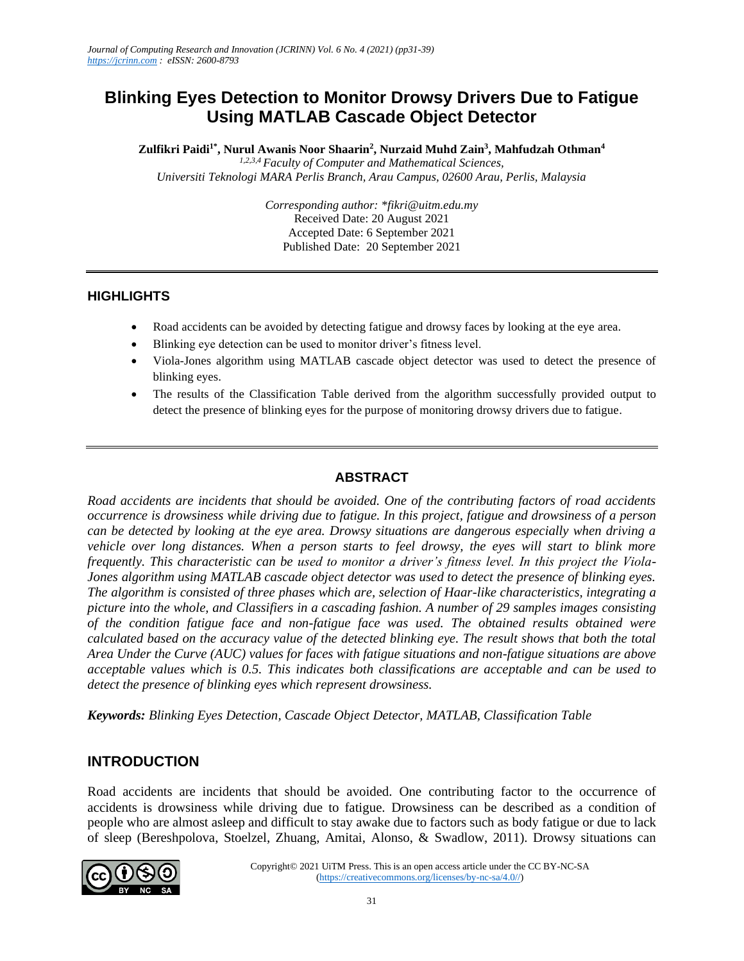# **Blinking Eyes Detection to Monitor Drowsy Drivers Due to Fatigue Using MATLAB Cascade Object Detector**

**Zulfikri Paidi1\*, Nurul Awanis Noor Shaarin<sup>2</sup> , Nurzaid Muhd Zain<sup>3</sup> , Mahfudzah Othman<sup>4</sup>** *1,2,3,4 Faculty of Computer and Mathematical Sciences,*

*Universiti Teknologi MARA Perlis Branch, Arau Campus, 02600 Arau, Perlis, Malaysia*

*Corresponding author: \*fikri@uitm.edu.my* Received Date: 20 August 2021 Accepted Date: 6 September 2021 Published Date: 20 September 2021

#### **HIGHLIGHTS**

- Road accidents can be avoided by detecting fatigue and drowsy faces by looking at the eye area.
- Blinking eye detection can be used to monitor driver's fitness level.
- Viola-Jones algorithm using MATLAB cascade object detector was used to detect the presence of blinking eyes.
- The results of the Classification Table derived from the algorithm successfully provided output to detect the presence of blinking eyes for the purpose of monitoring drowsy drivers due to fatigue.

### **ABSTRACT**

*Road accidents are incidents that should be avoided. One of the contributing factors of road accidents occurrence is drowsiness while driving due to fatigue. In this project, fatigue and drowsiness of a person can be detected by looking at the eye area. Drowsy situations are dangerous especially when driving a vehicle over long distances. When a person starts to feel drowsy, the eyes will start to blink more frequently. This characteristic can be used to monitor a driver's fitness level. In this project the Viola-Jones algorithm using MATLAB cascade object detector was used to detect the presence of blinking eyes. The algorithm is consisted of three phases which are, selection of Haar-like characteristics, integrating a picture into the whole, and Classifiers in a cascading fashion. A number of 29 samples images consisting of the condition fatigue face and non-fatigue face was used. The obtained results obtained were calculated based on the accuracy value of the detected blinking eye. The result shows that both the total Area Under the Curve (AUC) values for faces with fatigue situations and non-fatigue situations are above acceptable values which is 0.5. This indicates both classifications are acceptable and can be used to detect the presence of blinking eyes which represent drowsiness.*

*Keywords: Blinking Eyes Detection, Cascade Object Detector, MATLAB, Classification Table*

### **INTRODUCTION**

Road accidents are incidents that should be avoided. One contributing factor to the occurrence of accidents is drowsiness while driving due to fatigue. Drowsiness can be described as a condition of people who are almost asleep and difficult to stay awake due to factors such as body fatigue or due to lack of sleep (Bereshpolova, Stoelzel, Zhuang, Amitai, Alonso, & Swadlow, 2011). Drowsy situations can

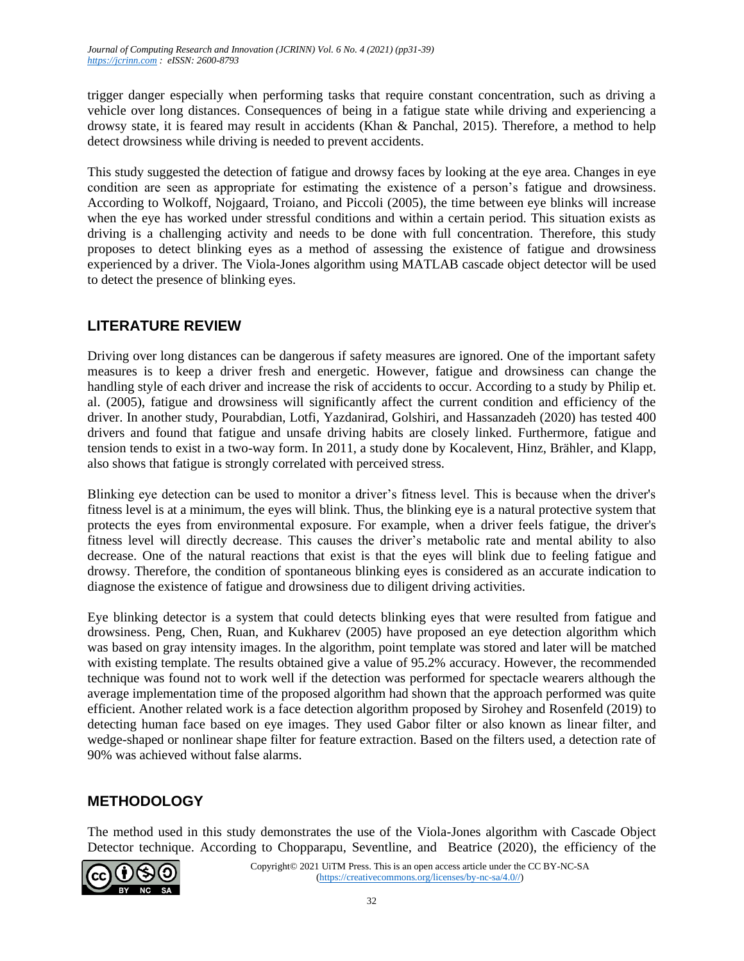trigger danger especially when performing tasks that require constant concentration, such as driving a vehicle over long distances. Consequences of being in a fatigue state while driving and experiencing a drowsy state, it is feared may result in accidents (Khan & Panchal, 2015). Therefore, a method to help detect drowsiness while driving is needed to prevent accidents.

This study suggested the detection of fatigue and drowsy faces by looking at the eye area. Changes in eye condition are seen as appropriate for estimating the existence of a person's fatigue and drowsiness. According to Wolkoff, Nojgaard, Troiano, and Piccoli (2005), the time between eye blinks will increase when the eye has worked under stressful conditions and within a certain period. This situation exists as driving is a challenging activity and needs to be done with full concentration. Therefore, this study proposes to detect blinking eyes as a method of assessing the existence of fatigue and drowsiness experienced by a driver. The Viola-Jones algorithm using MATLAB cascade object detector will be used to detect the presence of blinking eyes.

# **LITERATURE REVIEW**

Driving over long distances can be dangerous if safety measures are ignored. One of the important safety measures is to keep a driver fresh and energetic. However, fatigue and drowsiness can change the handling style of each driver and increase the risk of accidents to occur. According to a study by Philip et. al. (2005), fatigue and drowsiness will significantly affect the current condition and efficiency of the driver. In another study, Pourabdian, Lotfi, Yazdanirad, Golshiri, and Hassanzadeh (2020) has tested 400 drivers and found that fatigue and unsafe driving habits are closely linked. Furthermore, fatigue and tension tends to exist in a two-way form. In 2011, a study done by Kocalevent, Hinz, Brähler, and Klapp, also shows that fatigue is strongly correlated with perceived stress.

Blinking eye detection can be used to monitor a driver's fitness level. This is because when the driver's fitness level is at a minimum, the eyes will blink. Thus, the blinking eye is a natural protective system that protects the eyes from environmental exposure. For example, when a driver feels fatigue, the driver's fitness level will directly decrease. This causes the driver's metabolic rate and mental ability to also decrease. One of the natural reactions that exist is that the eyes will blink due to feeling fatigue and drowsy. Therefore, the condition of spontaneous blinking eyes is considered as an accurate indication to diagnose the existence of fatigue and drowsiness due to diligent driving activities.

Eye blinking detector is a system that could detects blinking eyes that were resulted from fatigue and drowsiness. Peng, Chen, Ruan, and Kukharev (2005) have proposed an eye detection algorithm which was based on gray intensity images. In the algorithm, point template was stored and later will be matched with existing template. The results obtained give a value of 95.2% accuracy. However, the recommended technique was found not to work well if the detection was performed for spectacle wearers although the average implementation time of the proposed algorithm had shown that the approach performed was quite efficient. Another related work is a face detection algorithm proposed by Sirohey and Rosenfeld (2019) to detecting human face based on eye images. They used Gabor filter or also known as linear filter, and wedge-shaped or nonlinear shape filter for feature extraction. Based on the filters used, a detection rate of 90% was achieved without false alarms.

## **METHODOLOGY**

The method used in this study demonstrates the use of the Viola-Jones algorithm with Cascade Object Detector technique. According to Chopparapu, Seventline, and Beatrice (2020), the efficiency of the

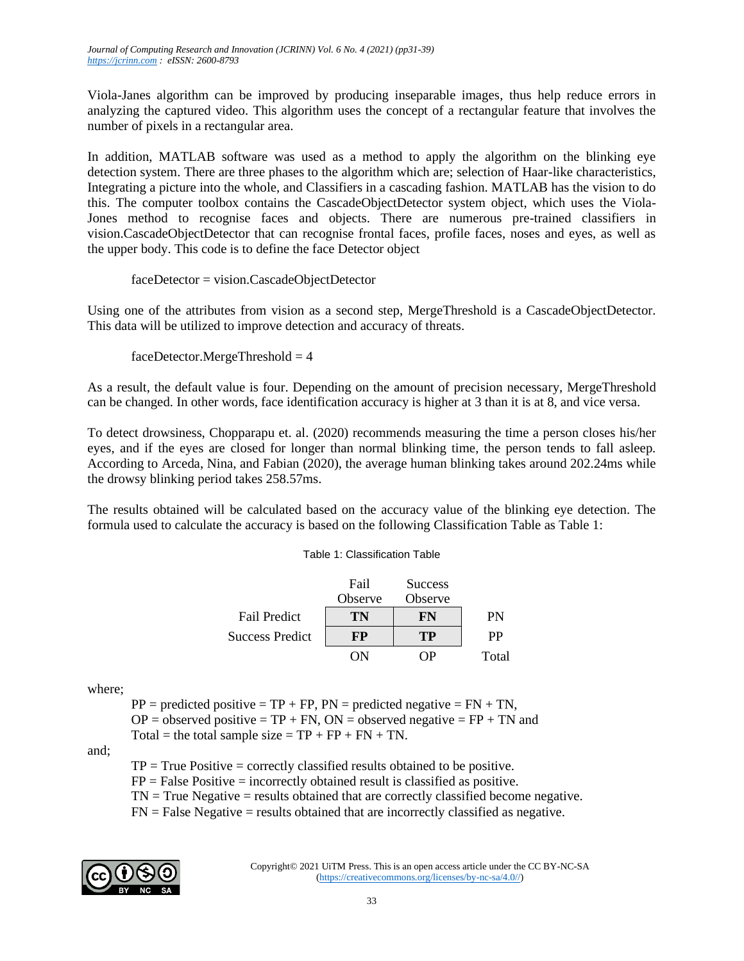Viola-Janes algorithm can be improved by producing inseparable images, thus help reduce errors in analyzing the captured video. This algorithm uses the concept of a rectangular feature that involves the number of pixels in a rectangular area.

In addition, MATLAB software was used as a method to apply the algorithm on the blinking eye detection system. There are three phases to the algorithm which are; selection of Haar-like characteristics, Integrating a picture into the whole, and Classifiers in a cascading fashion. MATLAB has the vision to do this. The computer toolbox contains the CascadeObjectDetector system object, which uses the Viola-Jones method to recognise faces and objects. There are numerous pre-trained classifiers in vision.CascadeObjectDetector that can recognise frontal faces, profile faces, noses and eyes, as well as the upper body. This code is to define the face Detector object

faceDetector = vision.CascadeObjectDetector

Using one of the attributes from vision as a second step, MergeThreshold is a CascadeObjectDetector. This data will be utilized to improve detection and accuracy of threats.

 $faceDetector.MergeThreshold = 4$ 

As a result, the default value is four. Depending on the amount of precision necessary, MergeThreshold can be changed. In other words, face identification accuracy is higher at 3 than it is at 8, and vice versa.

To detect drowsiness, Chopparapu et. al. (2020) recommends measuring the time a person closes his/her eyes, and if the eyes are closed for longer than normal blinking time, the person tends to fall asleep. According to Arceda, Nina, and Fabian (2020), the average human blinking takes around 202.24ms while the drowsy blinking period takes 258.57ms.

The results obtained will be calculated based on the accuracy value of the blinking eye detection. The formula used to calculate the accuracy is based on the following Classification Table as Table 1:

|  |  | Table 1: Classification Table |  |
|--|--|-------------------------------|--|
|--|--|-------------------------------|--|

|                        | Fail<br>Observe | <b>Success</b><br>Observe |       |
|------------------------|-----------------|---------------------------|-------|
| <b>Fail Predict</b>    | TN              | FN                        | PN    |
| <b>Success Predict</b> | FР              | TР                        | РP    |
|                        |                 |                           | Total |

where;

 $PP = predicted positive = TP + FP$ ,  $PN = predicted negative = FN + TN$ ,  $OP =$  observed positive = TP + FN,  $ON =$  observed negative = FP + TN and Total = the total sample size =  $TP + FP + FN + TN$ .

and;

 $TP = True Positive = correctly classified results obtained to be positive.$  $FP = False Positive = incorrectly obtained result is classified as positive.$ 

 $TN = True$  Negative = results obtained that are correctly classified become negative.

 $FN = False Negative = results obtained that are incorrectly classified as negative.$ 

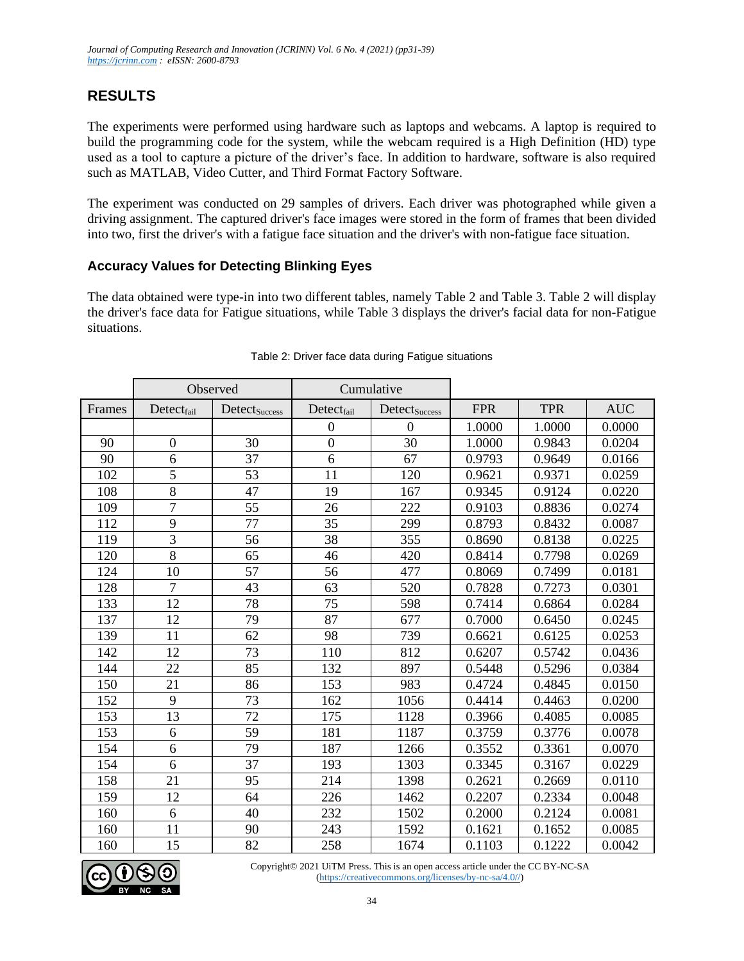# **RESULTS**

The experiments were performed using hardware such as laptops and webcams. A laptop is required to build the programming code for the system, while the webcam required is a High Definition (HD) type used as a tool to capture a picture of the driver's face. In addition to hardware, software is also required such as MATLAB, Video Cutter, and Third Format Factory Software.

The experiment was conducted on 29 samples of drivers. Each driver was photographed while given a driving assignment. The captured driver's face images were stored in the form of frames that been divided into two, first the driver's with a fatigue face situation and the driver's with non-fatigue face situation.

### **Accuracy Values for Detecting Blinking Eyes**

The data obtained were type-in into two different tables, namely Table 2 and Table 3. Table 2 will display the driver's face data for Fatigue situations, while Table 3 displays the driver's facial data for non-Fatigue situations.

|        | Observed         |                           | Cumulative       |                  |            |            |            |
|--------|------------------|---------------------------|------------------|------------------|------------|------------|------------|
| Frames | Detectfail       | Detect <sub>Success</sub> | $Detect_{fail}$  | Detectsuccess    | <b>FPR</b> | <b>TPR</b> | <b>AUC</b> |
|        |                  |                           | $\boldsymbol{0}$ | $\boldsymbol{0}$ | 1.0000     | 1.0000     | 0.0000     |
| 90     | $\boldsymbol{0}$ | 30                        | $\overline{0}$   | 30               | 1.0000     | 0.9843     | 0.0204     |
| 90     | 6                | 37                        | 6                | 67               | 0.9793     | 0.9649     | 0.0166     |
| 102    | 5                | 53                        | 11               | 120              | 0.9621     | 0.9371     | 0.0259     |
| 108    | 8                | 47                        | 19               | 167              | 0.9345     | 0.9124     | 0.0220     |
| 109    | $\overline{7}$   | 55                        | 26               | 222              | 0.9103     | 0.8836     | 0.0274     |
| 112    | 9                | 77                        | 35               | 299              | 0.8793     | 0.8432     | 0.0087     |
| 119    | $\overline{3}$   | 56                        | 38               | 355              | 0.8690     | 0.8138     | 0.0225     |
| 120    | $\overline{8}$   | 65                        | 46               | 420              | 0.8414     | 0.7798     | 0.0269     |
| 124    | 10               | 57                        | 56               | 477              | 0.8069     | 0.7499     | 0.0181     |
| 128    | $\overline{7}$   | 43                        | 63               | 520              | 0.7828     | 0.7273     | 0.0301     |
| 133    | 12               | 78                        | 75               | 598              | 0.7414     | 0.6864     | 0.0284     |
| 137    | 12               | 79                        | 87               | 677              | 0.7000     | 0.6450     | 0.0245     |
| 139    | 11               | 62                        | 98               | 739              | 0.6621     | 0.6125     | 0.0253     |
| 142    | 12               | 73                        | 110              | 812              | 0.6207     | 0.5742     | 0.0436     |
| 144    | 22               | 85                        | 132              | 897              | 0.5448     | 0.5296     | 0.0384     |
| 150    | 21               | 86                        | 153              | 983              | 0.4724     | 0.4845     | 0.0150     |
| 152    | 9                | 73                        | 162              | 1056             | 0.4414     | 0.4463     | 0.0200     |
| 153    | 13               | 72                        | 175              | 1128             | 0.3966     | 0.4085     | 0.0085     |
| 153    | 6                | 59                        | 181              | 1187             | 0.3759     | 0.3776     | 0.0078     |
| 154    | 6                | 79                        | 187              | 1266             | 0.3552     | 0.3361     | 0.0070     |
| 154    | 6                | 37                        | 193              | 1303             | 0.3345     | 0.3167     | 0.0229     |
| 158    | 21               | 95                        | 214              | 1398             | 0.2621     | 0.2669     | 0.0110     |
| 159    | 12               | 64                        | 226              | 1462             | 0.2207     | 0.2334     | 0.0048     |
| 160    | 6                | 40                        | 232              | 1502             | 0.2000     | 0.2124     | 0.0081     |
| 160    | 11               | 90                        | 243              | 1592             | 0.1621     | 0.1652     | 0.0085     |
| 160    | 15               | 82                        | 258              | 1674             | 0.1103     | 0.1222     | 0.0042     |

#### Table 2: Driver face data during Fatigue situations

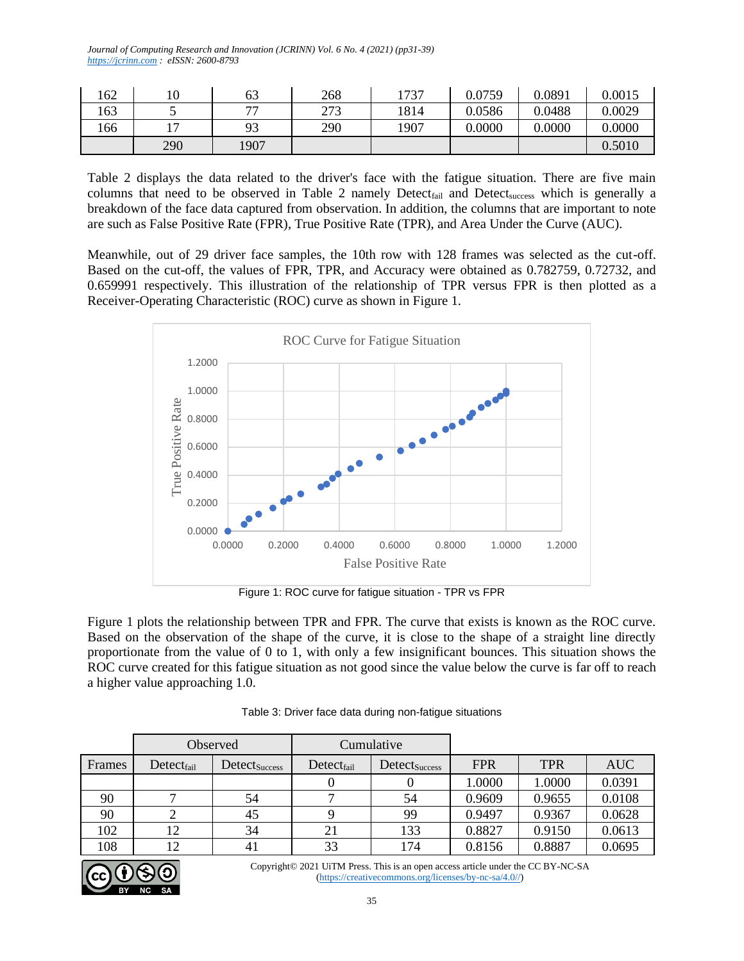*Journal of Computing Research and Innovation (JCRINN) Vol. 6 No. 4 (2021) (pp31-39) [https://jcrinn.com](https://jcrinn.com/) : eISSN: 2600-8793*

| 162 | 10             | 63   | 268 | 1737 | 0.0759 | 0.0891 | 0.0015 |
|-----|----------------|------|-----|------|--------|--------|--------|
| 163 |                | 77   | 272 | 1814 | 0.0586 | 0.0488 | 0.0029 |
| 166 | $\overline{ }$ | 93   | 290 | 1907 | 0.0000 | 0.0000 | 0.0000 |
|     | 290            | 1907 |     |      |        |        | 0.5010 |

Table 2 displays the data related to the driver's face with the fatigue situation. There are five main columns that need to be observed in Table 2 namely Detect<sub>fail</sub> and Detect<sub>success</sub> which is generally a breakdown of the face data captured from observation. In addition, the columns that are important to note are such as False Positive Rate (FPR), True Positive Rate (TPR), and Area Under the Curve (AUC).

Meanwhile, out of 29 driver face samples, the 10th row with 128 frames was selected as the cut-off. Based on the cut-off, the values of FPR, TPR, and Accuracy were obtained as 0.782759, 0.72732, and 0.659991 respectively. This illustration of the relationship of TPR versus FPR is then plotted as a Receiver-Operating Characteristic (ROC) curve as shown in Figure 1.



Figure 1: ROC curve for fatigue situation - TPR vs FPR

Figure 1 plots the relationship between TPR and FPR. The curve that exists is known as the ROC curve. Based on the observation of the shape of the curve, it is close to the shape of a straight line directly proportionate from the value of 0 to 1, with only a few insignificant bounces. This situation shows the ROC curve created for this fatigue situation as not good since the value below the curve is far off to reach a higher value approaching 1.0.

|        | Observed        |                           | Cumulative      |               |            |            |            |
|--------|-----------------|---------------------------|-----------------|---------------|------------|------------|------------|
| Frames | $Detect_{fail}$ | Detect <sub>Success</sub> | $Detect_{fail}$ | Detectsuccess | <b>FPR</b> | <b>TPR</b> | <b>AUC</b> |
|        |                 |                           |                 |               | 1.0000     | 1.0000     | 0.0391     |
| 90     |                 | 54                        |                 | 54            | 0.9609     | 0.9655     | 0.0108     |
| 90     |                 | 45                        |                 | 99            | 0.9497     | 0.9367     | 0.0628     |
| 102    | 12              | 34                        | 21              | 133           | 0.8827     | 0.9150     | 0.0613     |
| 108    | 12              | 41                        | 33              | 174           | 0.8156     | 0.8887     | 0.0695     |

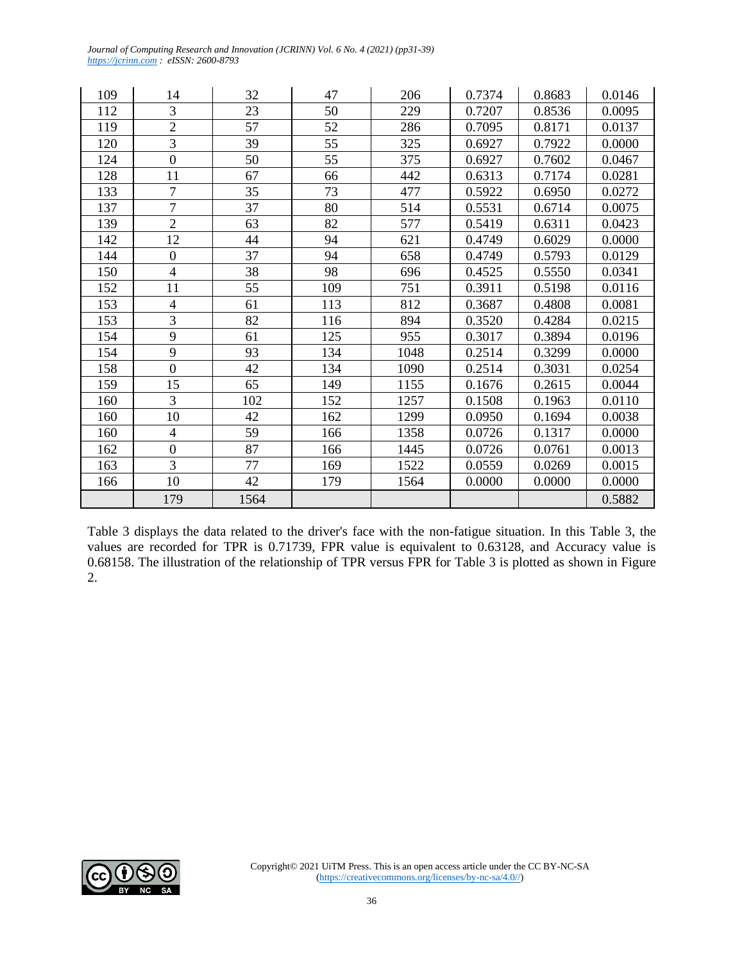109 14 32 47 206 0.7374 0.8683 0.0146 112 3 23 50 229 0.7207 0.8536 0.0095 119 | 2 | 57 | 52 | 286 | 0.7095 | 0.8171 | 0.0137 120 3 39 35 325 0.6927 0.7922 0.0000 124 0 50 55 375 0.6927 0.7602 0.0467 128 | 11 | 67 | 66 | 442 | 0.6313 | 0.7174 | 0.0281 133 7 35 73 477 0.5922 0.6950 0.0272 137 | 7 | 37 | 80 | 514 | 0.5531 | 0.6714 | 0.0075 139 2 63 82 577 0.5419 0.6311 0.0423 142 | 12 | 44 | 94 | 621 | 0.4749 | 0.6029 | 0.0000 144 0 37 94 658 0.4749 0.5793 0.0129 150 4 38 98 696 0.4525 0.5550 0.0341 152 11 | 55 | 109 | 751 | 0.3911 | 0.5198 | 0.0116 153 4 61 113 812 0.3687 0.4808 0.0081 153 3 82 116 894 0.3520 0.4284 0.0215 154 9 61 125 955 0.3017 0.3894 0.0196 154 9 93 134 1048 0.2514 0.3299 0.0000 158 0 42 134 1090 0.2514 0.3031 0.0254 159 | 15 | 65 | 149 | 1155 | 0.1676 | 0.2615 | 0.0044 160 3 102 152 1257 0.1508 0.1963 0.0110 160 10 42 162 1299 0.0950 0.1694 0.0038 160 4 59 166 1358 0.0726 0.1317 0.0000 162 0 87 166 1445 0.0726 0.0761 0.0013 163 3 77 169 1522 0.0559 0.0269 0.0015 166 10 42 179 1564 0.0000 0.0000 0.0000 179 1564 0.5882

*Journal of Computing Research and Innovation (JCRINN) Vol. 6 No. 4 (2021) (pp31-39)*

*[https://jcrinn.com](https://jcrinn.com/) : eISSN: 2600-8793*

Table 3 displays the data related to the driver's face with the non-fatigue situation. In this Table 3, the values are recorded for TPR is 0.71739, FPR value is equivalent to 0.63128, and Accuracy value is 0.68158. The illustration of the relationship of TPR versus FPR for Table 3 is plotted as shown in Figure 2.

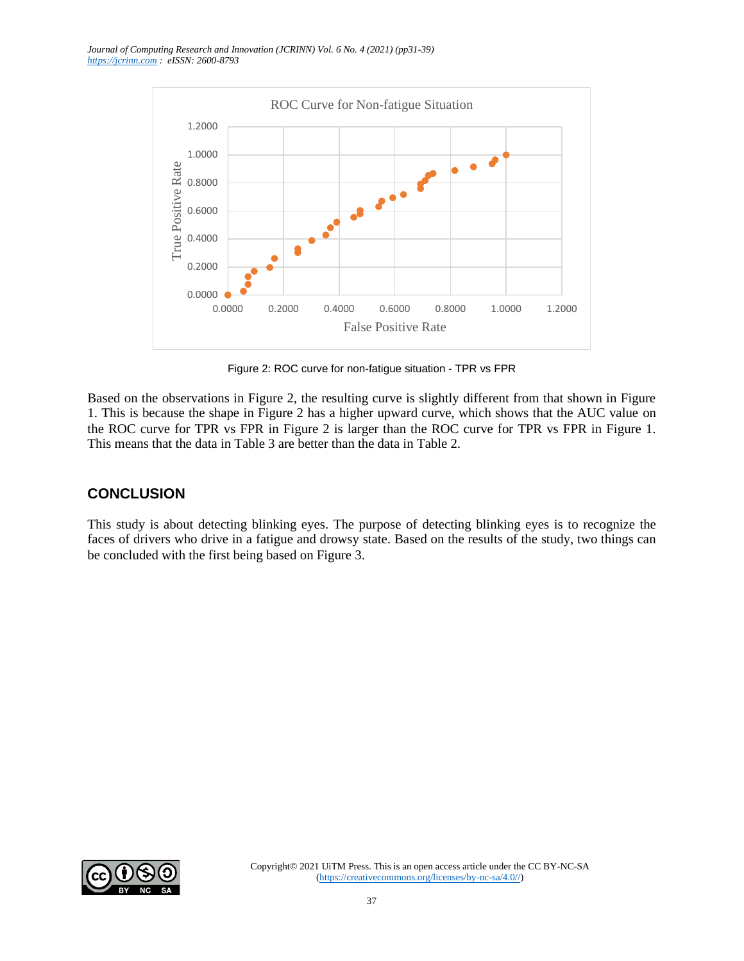*Journal of Computing Research and Innovation (JCRINN) Vol. 6 No. 4 (2021) (pp31-39) [https://jcrinn.com](https://jcrinn.com/) : eISSN: 2600-8793*



Figure 2: ROC curve for non-fatigue situation - TPR vs FPR

Based on the observations in Figure 2, the resulting curve is slightly different from that shown in Figure 1. This is because the shape in Figure 2 has a higher upward curve, which shows that the AUC value on the ROC curve for TPR vs FPR in Figure 2 is larger than the ROC curve for TPR vs FPR in Figure 1. This means that the data in Table 3 are better than the data in Table 2.

## **CONCLUSION**

This study is about detecting blinking eyes. The purpose of detecting blinking eyes is to recognize the faces of drivers who drive in a fatigue and drowsy state. Based on the results of the study, two things can be concluded with the first being based on Figure 3.

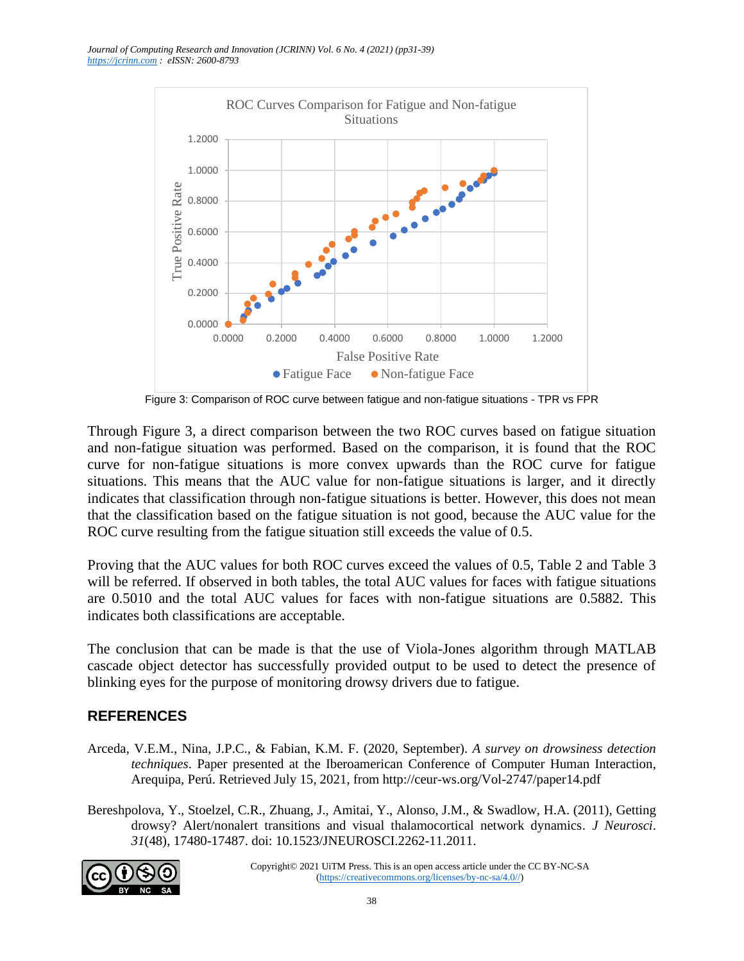

Figure 3: Comparison of ROC curve between fatigue and non-fatigue situations - TPR vs FPR

Through Figure 3, a direct comparison between the two ROC curves based on fatigue situation and non-fatigue situation was performed. Based on the comparison, it is found that the ROC curve for non-fatigue situations is more convex upwards than the ROC curve for fatigue situations. This means that the AUC value for non-fatigue situations is larger, and it directly indicates that classification through non-fatigue situations is better. However, this does not mean that the classification based on the fatigue situation is not good, because the AUC value for the ROC curve resulting from the fatigue situation still exceeds the value of 0.5.

Proving that the AUC values for both ROC curves exceed the values of 0.5, Table 2 and Table 3 will be referred. If observed in both tables, the total AUC values for faces with fatigue situations are 0.5010 and the total AUC values for faces with non-fatigue situations are 0.5882. This indicates both classifications are acceptable.

The conclusion that can be made is that the use of Viola-Jones algorithm through MATLAB cascade object detector has successfully provided output to be used to detect the presence of blinking eyes for the purpose of monitoring drowsy drivers due to fatigue.

## **REFERENCES**

- Arceda, V.E.M., Nina, J.P.C., & Fabian, K.M. F. (2020, September). *A survey on drowsiness detection techniques*. Paper presented at the Iberoamerican Conference of Computer Human Interaction, Arequipa, Perú. Retrieved July 15, 2021, from http://ceur-ws.org/Vol-2747/paper14.pdf
- Bereshpolova, Y., Stoelzel, C.R., Zhuang, J., Amitai, Y., Alonso, J.M., & Swadlow, H.A. (2011), Getting drowsy? Alert/nonalert transitions and visual thalamocortical network dynamics. *J Neurosci*. *31*(48), 17480-17487. doi: 10.1523/JNEUROSCI.2262-11.2011.